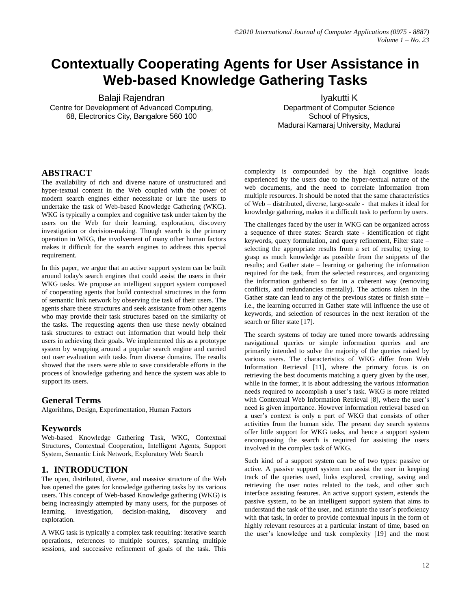# **Contextually Cooperating Agents for User Assistance in Web-based Knowledge Gathering Tasks**

Balaji Rajendran Centre for Development of Advanced Computing, 68, Electronics City, Bangalore 560 100

Iyakutti K Department of Computer Science School of Physics, Madurai Kamaraj University, Madurai

## **ABSTRACT**

The availability of rich and diverse nature of unstructured and hyper-textual content in the Web coupled with the power of modern search engines either necessitate or lure the users to undertake the task of Web-based Knowledge Gathering (WKG). WKG is typically a complex and cognitive task under taken by the users on the Web for their learning, exploration, discovery investigation or decision-making. Though search is the primary operation in WKG, the involvement of many other human factors makes it difficult for the search engines to address this special requirement.

In this paper, we argue that an active support system can be built around today's search engines that could assist the users in their WKG tasks. We propose an intelligent support system composed of cooperating agents that build contextual structures in the form of semantic link network by observing the task of their users. The agents share these structures and seek assistance from other agents who may provide their task structures based on the similarity of the tasks. The requesting agents then use these newly obtained task structures to extract out information that would help their users in achieving their goals. We implemented this as a prototype system by wrapping around a popular search engine and carried out user evaluation with tasks from diverse domains. The results showed that the users were able to save considerable efforts in the process of knowledge gathering and hence the system was able to support its users.

## **General Terms**

Algorithms, Design, Experimentation, Human Factors

# **Keywords**

Web-based Knowledge Gathering Task, WKG, Contextual Structures, Contextual Cooperation, Intelligent Agents, Support System, Semantic Link Network, Exploratory Web Search

# **1. INTRODUCTION**

The open, distributed, diverse, and massive structure of the Web has opened the gates for knowledge gathering tasks by its various users. This concept of Web-based Knowledge gathering (WKG) is being increasingly attempted by many users, for the purposes of learning, investigation, decision-making, discovery and exploration.

A WKG task is typically a complex task requiring: iterative search operations, references to multiple sources, spanning multiple sessions, and successive refinement of goals of the task. This

complexity is compounded by the high cognitive loads experienced by the users due to the hyper-textual nature of the web documents, and the need to correlate information from multiple resources. It should be noted that the same characteristics of Web – distributed, diverse, large-scale - that makes it ideal for knowledge gathering, makes it a difficult task to perform by users.

The challenges faced by the user in WKG can be organized across a sequence of three states: Search state - identification of right keywords, query formulation, and query refinement, Filter state – selecting the appropriate results from a set of results; trying to grasp as much knowledge as possible from the snippets of the results; and Gather state – learning or gathering the information required for the task, from the selected resources, and organizing the information gathered so far in a coherent way (removing conflicts, and redundancies mentally). The actions taken in the Gather state can lead to any of the previous states or finish state – i.e., the learning occurred in Gather state will influence the use of keywords, and selection of resources in the next iteration of the search or filter state [17].

The search systems of today are tuned more towards addressing navigational queries or simple information queries and are primarily intended to solve the majority of the queries raised by various users. The characteristics of WKG differ from Web Information Retrieval [11], where the primary focus is on retrieving the best documents matching a query given by the user, while in the former, it is about addressing the various information needs required to accomplish a user's task. WKG is more related with Contextual Web Information Retrieval [8], where the user's need is given importance. However information retrieval based on a user's context is only a part of WKG that consists of other activities from the human side. The present day search systems offer little support for WKG tasks, and hence a support system encompassing the search is required for assisting the users involved in the complex task of WKG.

Such kind of a support system can be of two types: passive or active. A passive support system can assist the user in keeping track of the queries used, links explored, creating, saving and retrieving the user notes related to the task, and other such interface assisting features. An active support system, extends the passive system, to be an intelligent support system that aims to understand the task of the user, and estimate the user's proficiency with that task, in order to provide contextual inputs in the form of highly relevant resources at a particular instant of time, based on the user's knowledge and task complexity [19] and the most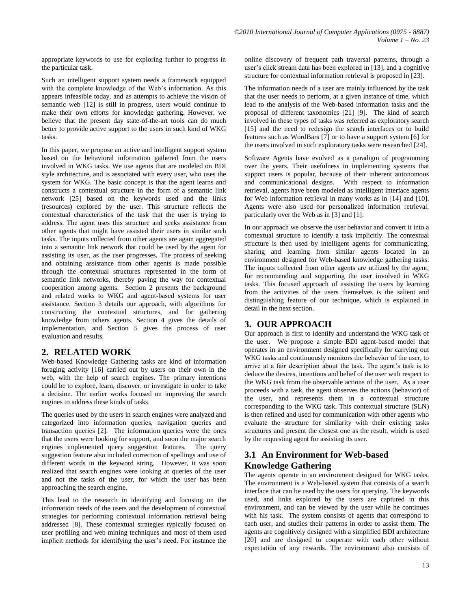appropriate keywords to use for exploring further to progress in the particular task.

Such an intelligent support system needs a framework equipped with the complete knowledge of the Web's information. As this appears infeasible today, and as attempts to achieve the vision of semantic web [12] is still in progress, users would continue to make their own efforts for knowledge gathering. However, we believe that the present day state-of-the-art tools can do much better to provide active support to the users in such kind of WKG tasks.

In this paper, we propose an active and intelligent support system based on the behavioral information gathered from the users involved in WKG tasks. We use agents that are modeled on BDI style architecture, and is associated with every user, who uses the system for WKG. The basic concept is that the agent learns and constructs a contextual structure in the form of a semantic link network [25] based on the keywords used and the links (resources) explored by the user. This structure reflects the contextual characteristics of the task that the user is trying to address. The agent uses this structure and seeks assistance from other agents that might have assisted their users in similar such tasks. The inputs collected from other agents are again aggregated into a semantic link network that could be used by the agent for assisting its user, as the user progresses. The process of seeking and obtaining assistance from other agents is made possible through the contextual structures represented in the form of semantic link networks, thereby paving the way for contextual cooperation among agents. Section 2 presents the background and related works to WKG and agent-based systems for user assistance. Section 3 details our approach, with algorithms for constructing the contextual structures, and for gathering knowledge from others agents. Section 4 gives the details of implementation, and Section 5 gives the process of user evaluation and results.

## **2. RELATED WORK**

Web-based Knowledge Gathering tasks are kind of information foraging activity [16] carried out by users on their own in the web, with the help of search engines. The primary intentions could be to explore, learn, discover, or investigate in order to take a decision. The earlier works focused on improving the search engines to address these kinds of tasks.

The queries used by the users in search engines were analyzed and categorized into information queries, navigation queries and transaction queries [2]. The information queries were the ones that the users were looking for support, and soon the major search engines implemented query suggestion features. The query suggestion feature also included correction of spellings and use of different words in the keyword string. However, it was soon realized that search engines were looking at queries of the user and not the tasks of the user, for which the user has been approaching the search engine.

This lead to the research in identifying and focusing on the information needs of the users and the development of contextual strategies for performing contextual information retrieval being addressed [8]. These contextual strategies typically focused on user profiling and web mining techniques and most of them used implicit methods for identifying the user's need. For instance the online discovery of frequent path traversal patterns, through a user's click stream data has been explored in [13], and a cognitive structure for contextual information retrieval is proposed in [23].

The information needs of a user are mainly influenced by the task that the user needs to perform, at a given instance of time, which lead to the analysis of the Web-based information tasks and the proposal of different taxonomies [21] [9]. The kind of search involved in these types of tasks was referred as exploratory search [15] and the need to redesign the search interfaces or to build features such as WordBars [7] or to have a support system [6] for the users involved in such exploratory tasks were researched [24].

Software Agents have evolved as a paradigm of programming over the years. Their usefulness in implementing systems that support users is popular, because of their inherent autonomous and communicational designs. With respect to information retrieval, agents have been modeled as intelligent interface agents for Web information retrieval in many works as in [14] and [10]. Agents were also used for personalized information retrieval, particularly over the Web as in [3] and [1].

In our approach we observe the user behavior and convert it into a contextual structure to identify a task implicitly. The contextual structure is then used by intelligent agents for communicating, sharing and learning from similar agents located in an environment designed for Web-based knowledge gathering tasks. The inputs collected from other agents are utilized by the agent, for recommending and supporting the user involved in WKG tasks. This focused approach of assisting the users by learning from the activities of the users themselves is the salient and distinguishing feature of our technique, which is explained in detail in the next section.

# **3. OUR APPROACH**

Our approach is first to identify and understand the WKG task of the user. We propose a simple BDI agent-based model that operates in an environment designed specifically for carrying out WKG tasks and continuously monitors the behavior of the user, to arrive at a fair description about the task. The agent's task is to deduce the desires, intentions and belief of the user with respect to the WKG task from the observable actions of the user. As a user proceeds with a task, the agent observes the actions (behavior) of the user, and represents them in a contextual structure corresponding to the WKG task. This contextual structure (SLN) is then refined and used for communication with other agents who evaluate the structure for similarity with their existing tasks structures and present the closest one as the result, which is used by the requesting agent for assisting its user.

# **3.1 An Environment for Web-based Knowledge Gathering**

The agents operate in an environment designed for WKG tasks. The environment is a Web-based system that consists of a search interface that can be used by the users for querying. The keywords used, and links explored by the users are captured in this environment, and can be viewed by the user while he continues with his task. The system consists of agents that correspond to each user, and studies their patterns in order to assist them. The agents are cognitively designed with a simplified BDI architecture [20] and are designed to cooperate with each other without expectation of any rewards. The environment also consists of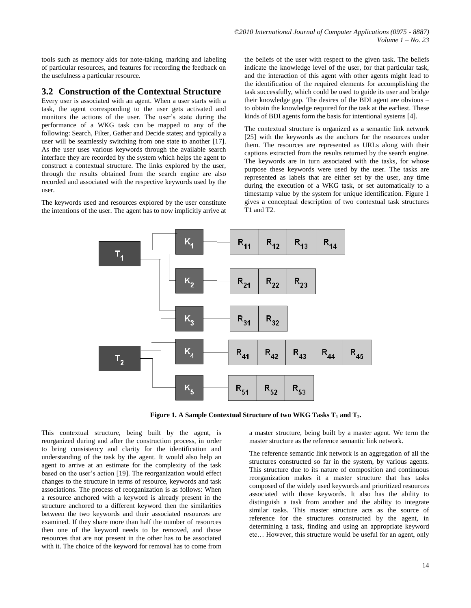tools such as memory aids for note-taking, marking and labeling of particular resources, and features for recording the feedback on the usefulness a particular resource.

#### **3.2 Construction of the Contextual Structure**

Every user is associated with an agent. When a user starts with a task, the agent corresponding to the user gets activated and monitors the actions of the user. The user's state during the performance of a WKG task can be mapped to any of the following: Search, Filter, Gather and Decide states; and typically a user will be seamlessly switching from one state to another [17]. As the user uses various keywords through the available search interface they are recorded by the system which helps the agent to construct a contextual structure. The links explored by the user, through the results obtained from the search engine are also recorded and associated with the respective keywords used by the user.

The keywords used and resources explored by the user constitute the intentions of the user. The agent has to now implicitly arrive at the beliefs of the user with respect to the given task. The beliefs indicate the knowledge level of the user, for that particular task, and the interaction of this agent with other agents might lead to the identification of the required elements for accomplishing the task successfully, which could be used to guide its user and bridge their knowledge gap. The desires of the BDI agent are obvious – to obtain the knowledge required for the task at the earliest. These kinds of BDI agents form the basis for intentional systems [4].

The contextual structure is organized as a semantic link network [25] with the keywords as the anchors for the resources under them. The resources are represented as URLs along with their captions extracted from the results returned by the search engine. The keywords are in turn associated with the tasks, for whose purpose these keywords were used by the user. The tasks are represented as labels that are either set by the user, any time during the execution of a WKG task, or set automatically to a timestamp value by the system for unique identification. Figure 1 gives a conceptual description of two contextual task structures T1 and T2.



**Figure 1. A Sample Contextual Structure of two WKG Tasks T<sup>1</sup> and T<sup>2</sup> .**

This contextual structure, being built by the agent, is reorganized during and after the construction process, in order to bring consistency and clarity for the identification and understanding of the task by the agent. It would also help an agent to arrive at an estimate for the complexity of the task based on the user's action [19]. The reorganization would effect changes to the structure in terms of resource, keywords and task associations. The process of reorganization is as follows: When a resource anchored with a keyword is already present in the structure anchored to a different keyword then the similarities between the two keywords and their associated resources are examined. If they share more than half the number of resources then one of the keyword needs to be removed, and those resources that are not present in the other has to be associated with it. The choice of the keyword for removal has to come from a master structure, being built by a master agent. We term the a master structure as the reference semantic link network.

The reference semantic link network is an aggregation of all the structures constructed so far in the system, by various agents. This structure due to its nature of composition and continuous reorganization makes it a master structure that has tasks composed of the widely used keywords and prioritized resources associated with those keywords. It also has the ability to distinguish a task from another and the ability to integrate similar tasks. This master structure acts as the source of reference for the structures constructed by the agent, in determining a task, finding and using an appropriate keyword etc… However, this structure would be useful for an agent, only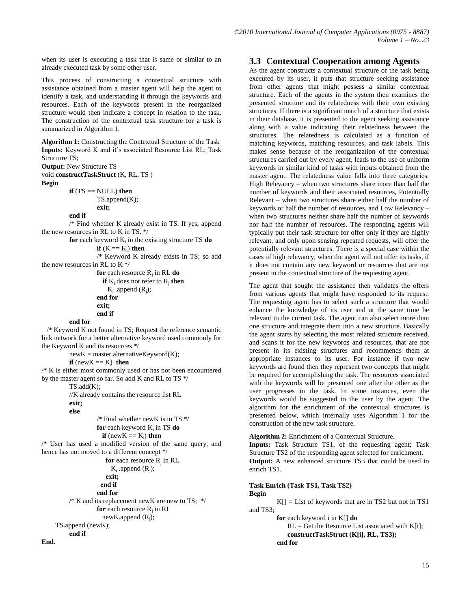when its user is executing a task that is same or similar to an already executed task by some other user.

This process of constructing a contextual structure with assistance obtained from a master agent will help the agent to identify a task, and understanding it through the keywords and resources. Each of the keywords present in the reorganized structure would then indicate a concept in relation to the task. The construction of the contextual task structure for a task is summarized in Algorithm 1.

**Algorithm 1:** Constructing the Contextual Structure of the Task **Inputs:** Keyword K and it's associated Resource List RL; Task Structure TS;

**Output:** New Structure TS

void **constructTaskStruct** (K, RL, TS ) **Begin**

 $if (TS == NULL) then$ 

TS.append(K);

**exit;**

**end if**

/\* Find whether K already exist in TS. If yes, append the new resources in RL to K in TS. \*/

for each keyword K<sub>i</sub> in the existing structure TS do

```
if (K == K_i) then
```
/\* Keyword K already exists in TS; so add the new resources in RL to K \*/

**for** each resource R<sup>j</sup> in RL **do if**  $K_i$  does not refer to  $R_i$  **then**  $K_i$  .append  $(R_i)$ ; **end for exit; end if**

#### **end for**

 /\* Keyword K not found in TS; Request the reference semantic link network for a better alternative keyword used commonly for the Keyword K and its resources \*/

 $newK = master$ .  
\nalternativeKeywords  
\n $K$ ;

#### **if** (new $K \equiv K$ ) **then**

/\* K is either most commonly used or has not been encountered by the master agent so far. So add K and RL to TS \*/

TS.add(K);

//K already contains the resource list RL

**exit; else** 

**End.**

```
/* Find whether newK is in TS */ 
for each keyword K<sub>i</sub> in TS do
```
 $\mathbf{if}$  (new $\mathbf{K} \equiv \mathbf{K}_i$ ) **then** 

/\* User has used a modified version of the same query, and hence has not moved to a different concept \*/

```
for each resource R_i in RL
              K_i .append (R_j);
                  exit;
                end if
              end for
    /* K and its replacement newK are new to TS; */for each resource Rj
in RL
              newK.append (R_i);
TS.append (newK); 
    end if
```
## **3.3 Contextual Cooperation among Agents**

As the agent constructs a contextual structure of the task being executed by its user, it puts that structure seeking assistance from other agents that might possess a similar contextual structure. Each of the agents in the system then examines the presented structure and its relatedness with their own existing structures. If there is a significant match of a structure that exists in their database, it is presented to the agent seeking assistance along with a value indicating their relatedness between the structures. The relatedness is calculated as a function of matching keywords, matching resources, and task labels. This makes sense because of the reorganization of the contextual structures carried out by every agent, leads to the use of uniform keywords in similar kind of tasks with inputs obtained from the master agent. The relatedness value falls into three categories: High Relevancy – when two structures share more than half the number of keywords and their associated resources, Potentially Relevant – when two structures share either half the number of keywords or half the number of resources, and Low Relevancy – when two structures neither share half the number of keywords nor half the number of resources. The responding agents will typically put their task structure for offer only if they are highly relevant, and only upon sensing repeated requests, will offer the potentially relevant structures. There is a special case within the cases of high relevancy, when the agent will not offer its tasks, if it does not contain any new keyword or resources that are not present in the contextual structure of the requesting agent.

The agent that sought the assistance then validates the offers from various agents that might have responded to its request. The requesting agent has to select such a structure that would enhance the knowledge of its user and at the same time be relevant to the current task. The agent can also select more than one structure and integrate them into a new structure. Basically the agent starts by selecting the most related structure received, and scans it for the new keywords and resources, that are not present in its existing structures and recommends them at appropriate instances to its user. For instance if two new keywords are found then they represent two concepts that might be required for accomplishing the task. The resources associated with the keywords will be presented one after the other as the user progresses in the task. In some instances, even the keywords would be suggested to the user by the agent. The algorithm for the enrichment of the contextual structures is presented below, which internally uses Algorithm 1 for the construction of the new task structure.

#### **Algorithm 2:** Enrichment of a Contextual Structure.

**Inputs:** Task Structure TS1, of the requesting agent; Task Structure TS2 of the responding agent selected for enrichment. **Output:** A new enhanced structure TS3 that could be used to enrich TS1.

#### **Task Enrich (Task TS1, Task TS2)**

#### **Begin**

 $K[\] =$  List of keywords that are in TS2 but not in TS1 and TS3;

> **for** each keyword i in K[] **do**  $RL = Get$  the Resource List associated with K[i]; **constructTaskStruct (K[i], RL, TS3); end for**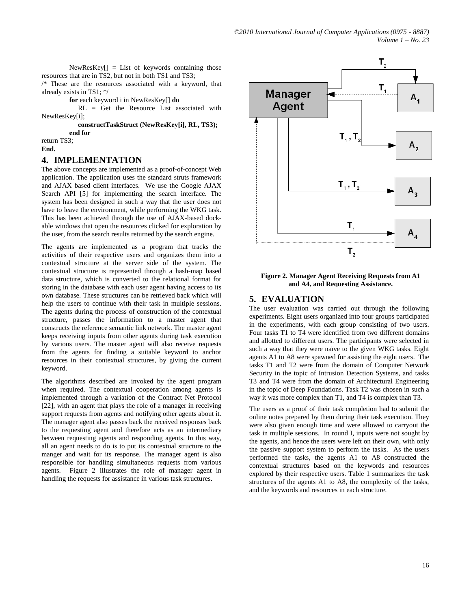$NewResKey[] = List of keywords containing those$ resources that are in TS2, but not in both TS1 and TS3;

/\* These are the resources associated with a keyword, that already exists in TS1; \*/

**for** each keyword i in NewResKey[] **do**

 RL = Get the Resource List associated with NewResKey[i];

> **constructTaskStruct (NewResKey[i], RL, TS3); end for**

return TS3;

**End.**

#### **4. IMPLEMENTATION**

The above concepts are implemented as a proof-of-concept Web application. The application uses the standard struts framework and AJAX based client interfaces. We use the Google AJAX Search API [5] for implementing the search interface. The system has been designed in such a way that the user does not have to leave the environment, while performing the WKG task. This has been achieved through the use of AJAX-based dockable windows that open the resources clicked for exploration by the user, from the search results returned by the search engine.

The agents are implemented as a program that tracks the activities of their respective users and organizes them into a contextual structure at the server side of the system. The contextual structure is represented through a hash-map based data structure, which is converted to the relational format for storing in the database with each user agent having access to its own database. These structures can be retrieved back which will help the users to continue with their task in multiple sessions. The agents during the process of construction of the contextual structure, passes the information to a master agent that constructs the reference semantic link network. The master agent keeps receiving inputs from other agents during task execution by various users. The master agent will also receive requests from the agents for finding a suitable keyword to anchor resources in their contextual structures, by giving the current keyword.

The algorithms described are invoked by the agent program when required. The contextual cooperation among agents is implemented through a variation of the Contract Net Protocol [22], with an agent that plays the role of a manager in receiving support requests from agents and notifying other agents about it. The manager agent also passes back the received responses back to the requesting agent and therefore acts as an intermediary between requesting agents and responding agents. In this way, all an agent needs to do is to put its contextual structure to the manger and wait for its response. The manager agent is also responsible for handling simultaneous requests from various agents. Figure 2 illustrates the role of manager agent in handling the requests for assistance in various task structures.



**Figure 2. Manager Agent Receiving Requests from A1 and A4, and Requesting Assistance.**

## **5. EVALUATION**

The user evaluation was carried out through the following **.**experiments. Eight users organized into four groups participated in the experiments, with each group consisting of two users. Four tasks T1 to T4 were identified from two different domains and allotted to different users. The participants were selected in such a way that they were naïve to the given WKG tasks. Eight agents A1 to A8 were spawned for assisting the eight users. The tasks T1 and T2 were from the domain of Computer Network Security in the topic of Intrusion Detection Systems, and tasks T3 and T4 were from the domain of Architectural Engineering in the topic of Deep Foundations. Task T2 was chosen in such a way it was more complex than T1, and T4 is complex than T3.

The users as a proof of their task completion had to submit the online notes prepared by them during their task execution. They were also given enough time and were allowed to carryout the task in multiple sessions. In round I, inputs were not sought by the agents, and hence the users were left on their own, with only the passive support system to perform the tasks. As the users performed the tasks, the agents A1 to A8 constructed the contextual structures based on the keywords and resources explored by their respective users. Table 1 summarizes the task structures of the agents A1 to A8, the complexity of the tasks, and the keywords and resources in each structure.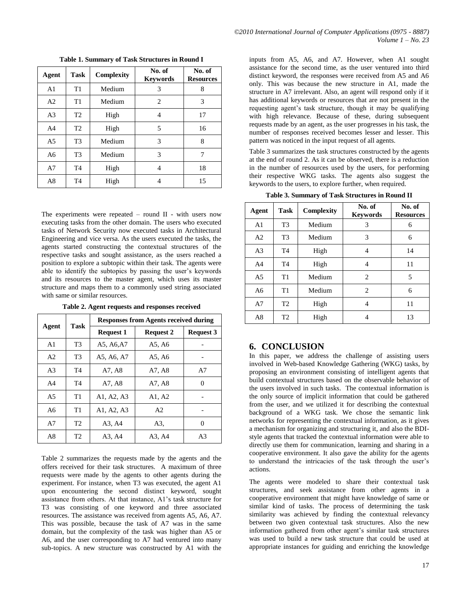| Agent          | <b>Task</b>    | Complexity | No. of<br><b>Keywords</b> | No. of<br><b>Resources</b> |
|----------------|----------------|------------|---------------------------|----------------------------|
| A <sub>1</sub> | T1             | Medium     | 3                         | 8                          |
| A <sub>2</sub> | T <sub>1</sub> | Medium     | 2                         | 3                          |
| A <sub>3</sub> | T <sub>2</sub> | High       | 4                         | 17                         |
| A4             | T <sub>2</sub> | High       | 5                         | 16                         |
| A5             | T <sub>3</sub> | Medium     | 3                         | 8                          |
| A6             | T <sub>3</sub> | Medium     | 3                         | 7                          |
| A7             | T <sub>4</sub> | High       | 4                         | 18                         |
| A8             | T <sub>4</sub> | High       | 4                         | 15                         |

**Table 1. Summary of Task Structures in Round I**

The experiments were repeated – round II - with users now executing tasks from the other domain. The users who executed tasks of Network Security now executed tasks in Architectural Engineering and vice versa. As the users executed the tasks, the agents started constructing the contextual structures of the respective tasks and sought assistance, as the users reached a position to explore a subtopic within their task. The agents were able to identify the subtopics by passing the user's keywords and its resources to the master agent, which uses its master structure and maps them to a commonly used string associated with same or similar resources.

**Table 2. Agent requests and responses received**

| Agent          | <b>Task</b>    | <b>Responses from Agents received during</b> |                  |                  |  |
|----------------|----------------|----------------------------------------------|------------------|------------------|--|
|                |                | <b>Request 1</b>                             | <b>Request 2</b> | <b>Request 3</b> |  |
| A <sub>1</sub> | T <sub>3</sub> | A5, A6, A7                                   | A5, A6           |                  |  |
| A <sub>2</sub> | T <sub>3</sub> | A5, A6, A7                                   | A5, A6           |                  |  |
| A <sub>3</sub> | T <sub>4</sub> | A7, A8                                       | A7, A8           | A7               |  |
| A <sub>4</sub> | T <sub>4</sub> | A7, A8                                       | A7, A8           | 0                |  |
| A <sub>5</sub> | T1             | A1, A2, A3                                   | A1, A2           |                  |  |
| A6             | T1             | A1, A2, A3                                   | A2               |                  |  |
| A7             | T <sub>2</sub> | A3, A4                                       | A3.              | 0                |  |
| A8             | T2             | A3, A4                                       | A3, A4           | A3               |  |

Table 2 summarizes the requests made by the agents and the offers received for their task structures. A maximum of three requests were made by the agents to other agents during the experiment. For instance, when T3 was executed, the agent A1 upon encountering the second distinct keyword, sought assistance from others. At that instance, A1's task structure for T3 was consisting of one keyword and three associated resources. The assistance was received from agents A5, A6, A7. This was possible, because the task of A7 was in the same domain, but the complexity of the task was higher than A5 or A6, and the user corresponding to A7 had ventured into many sub-topics. A new structure was constructed by A1 with the

inputs from A5, A6, and A7. However, when A1 sought assistance for the second time, as the user ventured into third distinct keyword, the responses were received from A5 and A6 only. This was because the new structure in A1, made the structure in A7 irrelevant. Also, an agent will respond only if it has additional keywords or resources that are not present in the requesting agent's task structure, though it may be qualifying with high relevance. Because of these, during subsequent requests made by an agent, as the user progresses in his task, the number of responses received becomes lesser and lesser. This pattern was noticed in the input request of all agents.

Table 3 summarizes the task structures constructed by the agents at the end of round 2. As it can be observed, there is a reduction in the number of resources used by the users, for performing their respective WKG tasks. The agents also suggest the keywords to the users, to explore further, when required.

| Agent          | <b>Task</b>    | Complexity | No. of<br><b>Keywords</b> | No. of<br><b>Resources</b> |
|----------------|----------------|------------|---------------------------|----------------------------|
| A <sub>1</sub> | T <sub>3</sub> | Medium     | 3                         | 6                          |
| A <sub>2</sub> | T <sub>3</sub> | Medium     | 3                         | 6                          |
| A <sub>3</sub> | T <sub>4</sub> | High       | 4                         | 14                         |
| A <sub>4</sub> | T <sub>4</sub> | High       | 4                         | 11                         |
| A <sub>5</sub> | T1             | Medium     | 2                         | 5                          |
| A <sub>6</sub> | T1             | Medium     | 2                         | 6                          |
| A7             | T <sub>2</sub> | High       | 4                         | 11                         |
| A8             | T <sub>2</sub> | High       | 4                         | 13                         |

**Table 3. Summary of Task Structures in Round II**

## **6. CONCLUSION**

In this paper, we address the challenge of assisting users involved in Web-based Knowledge Gathering (WKG) tasks, by proposing an environment consisting of intelligent agents that build contextual structures based on the observable behavior of the users involved in such tasks. The contextual information is the only source of implicit information that could be gathered from the user, and we utilized it for describing the contextual background of a WKG task. We chose the semantic link networks for representing the contextual information, as it gives a mechanism for organizing and structuring it, and also the BDIstyle agents that tracked the contextual information were able to directly use them for communication, learning and sharing in a cooperative environment. It also gave the ability for the agents to understand the intricacies of the task through the user's actions.

The agents were modeled to share their contextual task structures, and seek assistance from other agents in a cooperative environment that might have knowledge of same or similar kind of tasks. The process of determining the task similarity was achieved by finding the contextual relevancy between two given contextual task structures. Also the new information gathered from other agent's similar task structures was used to build a new task structure that could be used at appropriate instances for guiding and enriching the knowledge